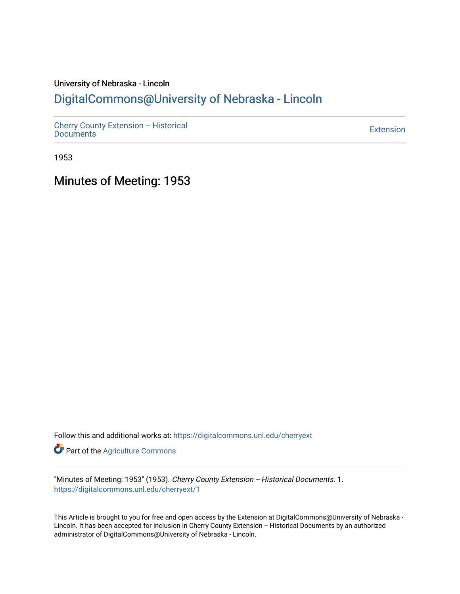## University of Nebraska - Lincoln [DigitalCommons@University of Nebraska - Lincoln](https://digitalcommons.unl.edu/)

[Cherry County Extension -- Historical](https://digitalcommons.unl.edu/cherryext)  [Documents](https://digitalcommons.unl.edu/cherryext) [Extension](https://digitalcommons.unl.edu/coop_extension) 

1953

Minutes of Meeting: 1953

Follow this and additional works at: [https://digitalcommons.unl.edu/cherryext](https://digitalcommons.unl.edu/cherryext?utm_source=digitalcommons.unl.edu%2Fcherryext%2F1&utm_medium=PDF&utm_campaign=PDFCoverPages) 

**Part of the [Agriculture Commons](http://network.bepress.com/hgg/discipline/1076?utm_source=digitalcommons.unl.edu%2Fcherryext%2F1&utm_medium=PDF&utm_campaign=PDFCoverPages)** 

"Minutes of Meeting: 1953" (1953). Cherry County Extension -- Historical Documents. 1. [https://digitalcommons.unl.edu/cherryext/1](https://digitalcommons.unl.edu/cherryext/1?utm_source=digitalcommons.unl.edu%2Fcherryext%2F1&utm_medium=PDF&utm_campaign=PDFCoverPages) 

This Article is brought to you for free and open access by the Extension at DigitalCommons@University of Nebraska - Lincoln. It has been accepted for inclusion in Cherry County Extension -- Historical Documents by an authorized administrator of DigitalCommons@University of Nebraska - Lincoln.